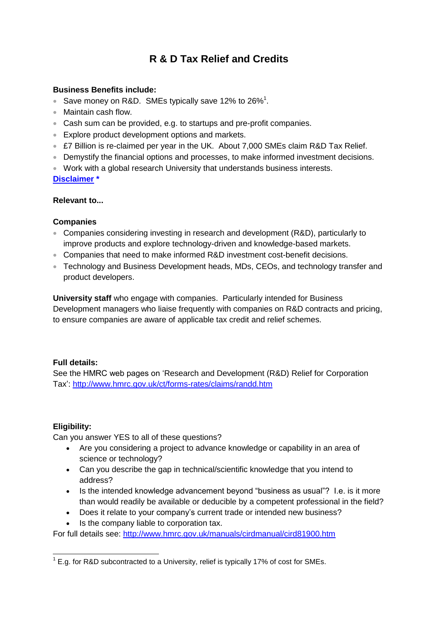# **R & D Tax Relief and Credits**

## **Business Benefits include:**

- Save money on R&D. SMEs typically save 12% to 26%<sup>1</sup>.
- Maintain cash flow.
- Cash sum can be provided, e.g. to startups and pre-profit companies.
- **Explore product development options and markets.**
- £7 Billion is re-claimed per year in the UK. About 7,000 SMEs claim R&D Tax Relief.
- Demystify the financial options and processes, to make informed investment decisions.
- Work with a global research University that understands business interests.

**[Disclaimer](#page-2-0) \***

#### **Relevant to...**

#### **Companies**

- Companies considering investing in research and development (R&D), particularly to improve products and explore technology-driven and knowledge-based markets.
- Companies that need to make informed R&D investment cost-benefit decisions.
- Technology and Business Development heads, MDs, CEOs, and technology transfer and product developers.

**University staff** who engage with companies. Particularly intended for Business Development managers who liaise frequently with companies on R&D contracts and pricing, to ensure companies are aware of applicable tax credit and relief schemes.

## **Full details:**

See the HMRC web pages on 'Research and Development (R&D) Relief for Corporation Tax':<http://www.hmrc.gov.uk/ct/forms-rates/claims/randd.htm>

## **Eligibility:**

Can you answer YES to all of these questions?

- Are you considering a project to advance knowledge or capability in an area of science or technology?
- Can you describe the gap in technical/scientific knowledge that you intend to address?
- Is the intended knowledge advancement beyond "business as usual"? I.e. is it more than would readily be available or deducible by a competent professional in the field?
- Does it relate to your company's current trade or intended new business?
- Is the company liable to corporation tax.

For full details see:<http://www.hmrc.gov.uk/manuals/cirdmanual/cird81900.htm>

 1 E.g. for R&D subcontracted to a University, relief is typically 17% of cost for SMEs.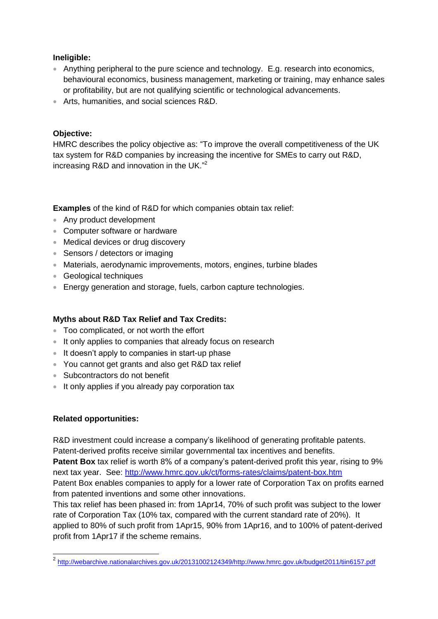#### **Ineligible:**

- Anything peripheral to the pure science and technology. E.g. research into economics, behavioural economics, business management, marketing or training, may enhance sales or profitability, but are not qualifying scientific or technological advancements.
- Arts, humanities, and social sciences R&D.

# **Objective:**

HMRC describes the policy objective as: "To improve the overall competitiveness of the UK tax system for R&D companies by increasing the incentive for SMEs to carry out R&D, increasing R&D and innovation in the UK."<sup>2</sup>

**Examples** of the kind of R&D for which companies obtain tax relief:

- Any product development
- Computer software or hardware
- Medical devices or drug discovery
- Sensors / detectors or imaging
- Materials, aerodynamic improvements, motors, engines, turbine blades
- Geological techniques
- Energy generation and storage, fuels, carbon capture technologies.

## **Myths about R&D Tax Relief and Tax Credits:**

- Too complicated, or not worth the effort
- It only applies to companies that already focus on research
- It doesn't apply to companies in start-up phase
- You cannot get grants and also get R&D tax relief
- Subcontractors do not benefit
- It only applies if you already pay corporation tax

## **Related opportunities:**

R&D investment could increase a company's likelihood of generating profitable patents. Patent-derived profits receive similar governmental tax incentives and benefits.

**Patent Box** tax relief is worth 8% of a company's patent-derived profit this year, rising to 9% next tax year. See:<http://www.hmrc.gov.uk/ct/forms-rates/claims/patent-box.htm> Patent Box enables companies to apply for a lower rate of Corporation Tax on profits earned from patented inventions and some other innovations.

This tax relief has been phased in: from 1Apr14, 70% of such profit was subject to the lower rate of Corporation Tax (10% tax, compared with the current standard rate of 20%). It applied to 80% of such profit from 1Apr15, 90% from 1Apr16, and to 100% of patent-derived profit from 1Apr17 if the scheme remains.

 2 [http://webarchive.nationalarchives.gov.uk/20131002124349/http://www.hmrc.gov.uk/budget2011/tiin6157.pdf](http://webarchive.nationalarchives.gov.uk/20131002124349/http:/www.hmrc.gov.uk/budget2011/tiin6157.pdf)